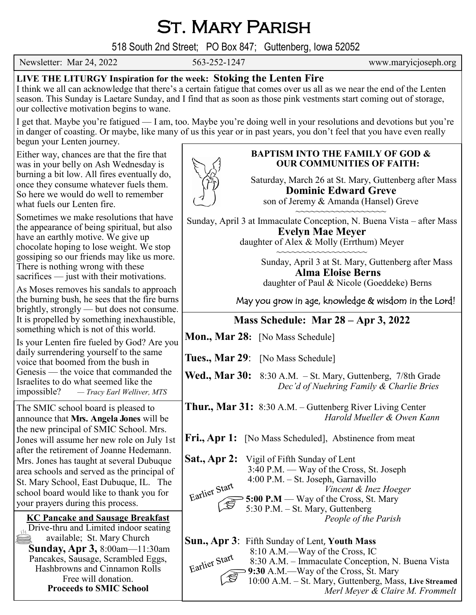# St. Mary Parish

518 South 2nd Street; PO Box 847; Guttenberg, Iowa 52052

Newsletter: Mar 24, 2022 563-252-1247 www.maryicjoseph.org

## **LIVE THE LITURGY Inspiration for the week: Stoking the Lenten Fire**

I think we all can acknowledge that there's a certain fatigue that comes over us all as we near the end of the Lenten season. This Sunday is Laetare Sunday, and I find that as soon as those pink vestments start coming out of storage, our collective motivation begins to wane.

I get that. Maybe you're fatigued — I am, too. Maybe you're doing well in your resolutions and devotions but you're in danger of coasting. Or maybe, like many of us this year or in past years, you don't feel that you have even really begun your Lenten journey.

Either way, chances are that the fire that was in your belly on Ash Wednesday is burning a bit low. All fires eventually do, once they consume whatever fuels them. So here we would do well to remember what fuels our Lenten fire.

Sometimes we make resolutions that have the appearance of being spiritual, but also have an earthly motive. We give up chocolate hoping to lose weight. We stop gossiping so our friends may like us more. There is nothing wrong with these sacrifices — just with their motivations.

As Moses removes his sandals to approach the burning bush, he sees that the fire burns brightly, strongly — but does not consume. It is propelled by something inexhaustible, something which is not of this world.

Is your Lenten fire fueled by God? Are you daily surrendering yourself to the same voice that boomed from the bush in Genesis — the voice that commanded the Israelites to do what seemed like the impossible? *— Tracy Earl Welliver, MTS*

The SMIC school board is pleased to announce that **Mrs. Angela Jones** will be the new principal of SMIC School. Mrs. Jones will assume her new role on July 1st after the retirement of Joanne Hedemann. Mrs. Jones has taught at several Dubuque area schools and served as the principal of St. Mary School, East Dubuque, IL. The school board would like to thank you for your prayers during this process.

**KC Pancake and Sausage Breakfast**  $\sqrt{\text{Dirive-thru and Limited indoor seating}}$ available; St. Mary Church E **Sunday, Apr 3,** 8:00am—11:30am Pancakes, Sausage, Scrambled Eggs, Hashbrowns and Cinnamon Rolls Free will donation. **Proceeds to SMIC School**

### **BAPTISM INTO THE FAMILY OF GOD & OUR COMMUNITIES OF FAITH:**

Saturday, March 26 at St. Mary, Guttenberg after Mass **Dominic Edward Greve**

son of Jeremy & Amanda (Hansel) Greve ~~~~~~~~~~~~~~~~

Sunday, April 3 at Immaculate Conception, N. Buena Vista – after Mass **Evelyn Mae Meyer** daughter of Alex & Molly (Errthum) Meyer

> ~~~~~~~~~~~~~~~~ Sunday, April 3 at St. Mary, Guttenberg after Mass

 **Alma Eloise Berns** daughter of Paul & Nicole (Goeddeke) Berns

May you grow in age, knowledge & wisdom in the Lord!

## **Mass Schedule: Mar 28 – Apr 3, 2022**

**Mon., Mar 28:** [No Mass Schedule]

**Tues., Mar 29**: [No Mass Schedule]

**Wed., Mar 30:** 8:30 A.M. – St. Mary, Guttenberg, 7/8th Grade *Dec'd of Nuehring Family & Charlie Bries*

**Thur., Mar 31:** 8:30 A.M. – Guttenberg River Living Center *Harold Mueller & Owen Kann* 

**Fri., Apr 1:** [No Mass Scheduled], Abstinence from meat

**Sat., Apr 2:** Vigil of Fifth Sunday of Lent 3:40 P.M. — Way of the Cross, St. Joseph 4:00 P.M. – St. Joseph, Garnavillo *Vincent & Inez Hoeger* Earlier Surface St. 00 P.M — Way of the Cross, St. Mary 5:30 P.M. – St. Mary, Guttenberg *People of the Parish*

**Sun., Apr 3**: Fifth Sunday of Lent, **Youth Mass** 8:10 A.M.—Way of the Cross, IC 8:30 A.M. – Immaculate Conception, N. Buena Vista  $\begin{array}{l}\n\text{Earlier} \rightarrow \text{W} \\
\hline\n\end{array}$  8:30 A.M. – Immaculate Conception, N. 10:00 A.M. – St. Mary, Guttenberg, Mass, **Live Streamed** *Merl Meyer & Claire M. Frommelt*